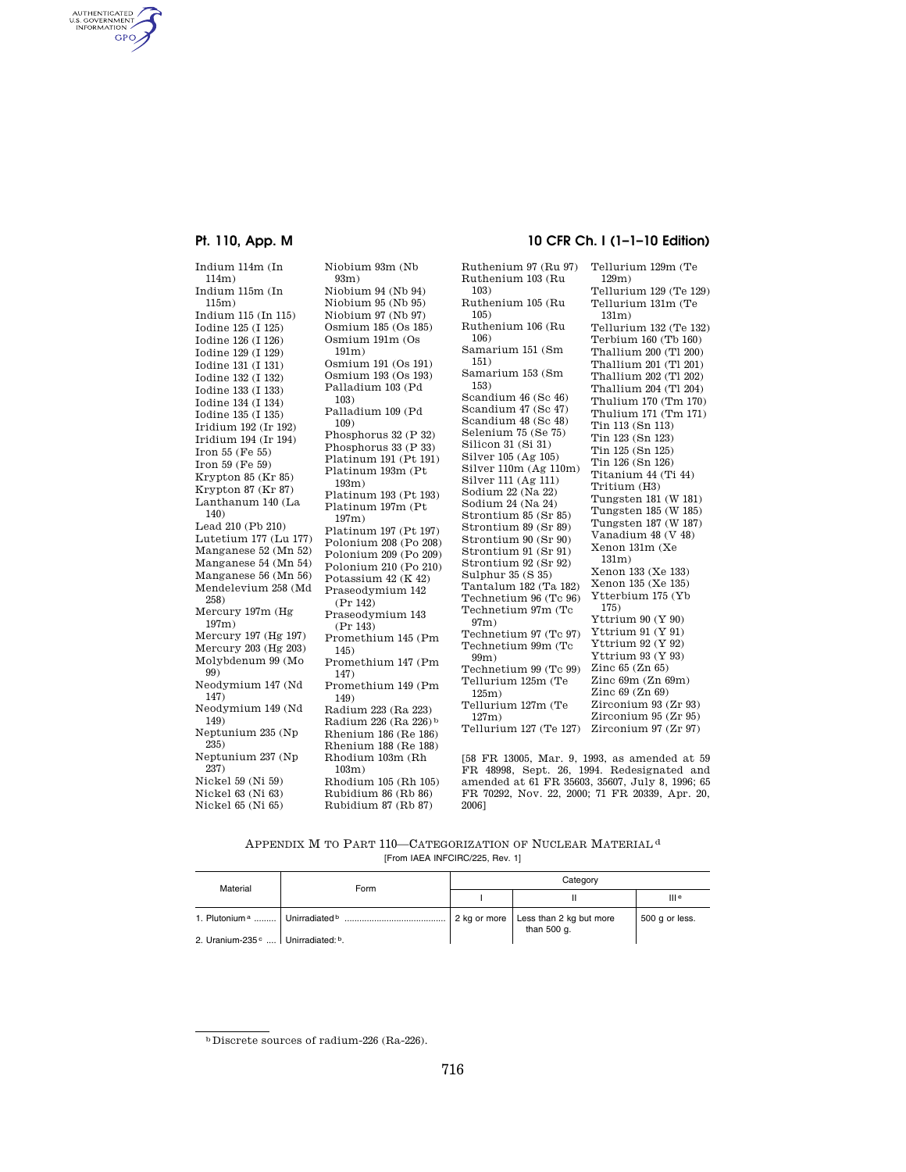AUTHENTICATED<br>U.S. GOVERNMENT<br>INFORMATION **GPO** 

> Indium 114m (In 114m) Indium 115m (In 115m) Indium 115 (In 115) Iodine 125 (I 125) Iodine 126 (I 126) Iodine 129 (I 129) Iodine 131 (I 131) Iodine 132 (I 132) Iodine 133 (I 133) Iodine 134 (I 134) Iodine 135 (I 135) Iridium 192 (Ir 192) Iridium 194 (Ir 194) Iron 55 (Fe 55) Iron 59 (Fe 59) Krypton 85 (Kr 85) Krypton 87 (Kr 87) Lanthanum 140 (La 140) Lead 210 (Pb 210) Lutetium 177 (Lu 177) Manganese 52 (Mn 52) Manganese 54 (Mn 54) Manganese 56 (Mn 56) Mendelevium 258 (Md 258) Mercury 197m (Hg 197m) Mercury 197 (Hg 197) Mercury 203 (Hg 203) Molybdenum 99 (Mo 99) Neodymium 147 (Nd 147) Neodymium 149 (Nd 149) Neptunium 235 (Np 235) Neptunium 237 (Np 237) Nickel 59 (Ni 59) Nickel 63 (Ni 63) Nickel 65 (Ni 65)

Niobium 93m (Nb 93m) Niobium 94 (Nb 94) Niobium 95 (Nb 95) Niobium 97 (Nb 97) Osmium 185 (Os 185) Osmium 191m (Os 191m) Osmium 191 (Os 191) Osmium 193 (Os 193) Palladium 103 (Pd 103) Palladium 109 (Pd 109) Phosphorus 32 (P 32) Phosphorus 33 (P 33) Platinum 191 (Pt 191) Platinum 193m (Pt 193m) Platinum 193 (Pt 193) Platinum 197m (Pt 197m) Platinum 197 (Pt 197) Polonium 208 (Po 208) Polonium 209 (Po 209) Polonium 210 (Po 210) Potassium 42 (K 42) Praseodymium 142 (Pr 142) Praseodymium 143 (Pr 143) Promethium 145 (Pm 145) Promethium 147 (Pm 147) Promethium 149 (Pm 149) Radium 223 (Ra 223) Radium 226 (Ra 226) b Rhenium 186 (Re 186) Rhenium 188 (Re 188) Rhodium 103m (Rh 103m) Rhodium 105 (Rh 105) Rubidium 86 (Rb 86)

Rubidium 87 (Rb 87)

## **Pt. 110, App. M 10 CFR Ch. I (1–1–10 Edition)**

Ruthenium 97 (Ru 97) Ruthenium 103 (Ru 103) Ruthenium 105 (Ru 105) Ruthenium 106 (Ru 106) Samarium 151 (Sm 151) Samarium 153 (Sm 153) Scandium 46 (Sc 46) Scandium 47 (Sc 47) Scandium 48 (Sc 48) Selenium 75 (Se 75) Silicon 31 (Si 31) Silver 105 (Ag 105) Silver 110m (Ag 110m) Silver 111 (Ag 111) Sodium 22 (Na 22) Sodium 24 (Na 24) Strontium 85 (Sr 85) Strontium 89 (Sr 89) Strontium 90 (Sr 90) Strontium 91 (Sr 91) Strontium 92 (Sr 92) Sulphur 35 (S 35) Tantalum 182 (Ta 182) Technetium 96 (Tc 96) Technetium 97m (Tc 97m) Technetium 97 (Tc 97) Technetium 99m (Tc 99m) Technetium 99 (Tc 99) Tellurium 125m (Te 125m) Tellurium 127m (Te 127m) Tellurium 127 (Te 127) Tellurium 129m (Te 129m) Tellurium 129 (Te 129) Tellurium 131m (Te 131m) Tellurium 132 (Te 132) Terbium 160 (Tb 160) Thallium 200 (Tl 200) Thallium 201 (Tl 201) Thallium 202 (Tl 202) Thallium 204 (Tl 204) Thulium 170 (Tm 170) Thulium 171 (Tm 171) Tin 113 (Sn 113) Tin 123 (Sn 123) Tin 125 (Sn 125) Tin 126 (Sn 126) Titanium 44 (Ti 44) Tritium (H3) Tungsten 181 (W 181) Tungsten 185 (W 185) Tungsten 187 (W 187) Vanadium 48 (V 48) Xenon 131m (Xe 131m) Xenon 133 (Xe 133) Xenon 135 (Xe 135) Ytterbium 175 (Yb 175) Yttrium 90 (Y 90) Yttrium 91 (Y 91) Yttrium 92 (Y 92) Yttrium 93 (Y 93) Zinc 65 (Zn 65) Zinc 69m (Zn 69m) Zinc 69 (Zn 69) Zirconium 93 (Zr 93) Zirconium 95 (Zr 95) Zirconium 97 (Zr 97)

[58 FR 13005, Mar. 9, 1993, as amended at 59 FR 48998, Sept. 26, 1994. Redesignated and amended at 61 FR 35603, 35607, July 8, 1996; 65 FR 70292, Nov. 22, 2000; 71 FR 20339, Apr. 20, 2006]

APPENDIX M TO PART 110-CATEGORIZATION OF NUCLEAR MATERIAL<sup>d</sup> [From IAEA INFCIRC/225, Rev. 1]

| Material                                       | Form | Category     |                                        |                  |
|------------------------------------------------|------|--------------|----------------------------------------|------------------|
|                                                |      |              |                                        | III <sub>e</sub> |
|                                                |      | 2 kg or more | Less than 2 kg but more<br>than 500 q. | 500 g or less.   |
| 2. Uranium-235 <sup>c</sup>   Unirradiated: b. |      |              |                                        |                  |

b Discrete sources of radium-226 (Ra-226).